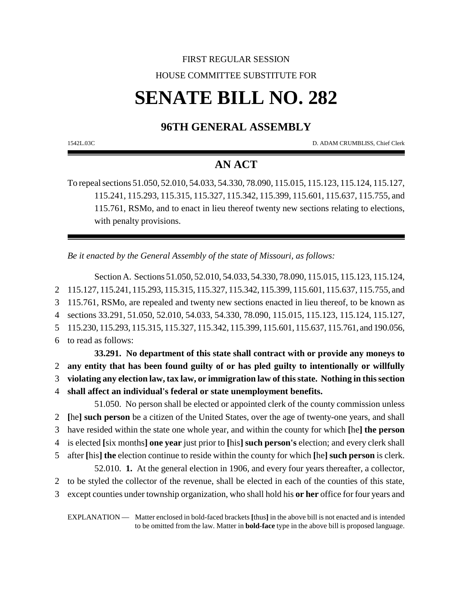# FIRST REGULAR SESSION HOUSE COMMITTEE SUBSTITUTE FOR

# **SENATE BILL NO. 282**

## **96TH GENERAL ASSEMBLY**

1542L.03C D. ADAM CRUMBLISS, Chief Clerk

### **AN ACT**

To repeal sections 51.050, 52.010, 54.033, 54.330, 78.090, 115.015, 115.123, 115.124, 115.127, 115.241, 115.293, 115.315, 115.327, 115.342, 115.399, 115.601, 115.637, 115.755, and 115.761, RSMo, and to enact in lieu thereof twenty new sections relating to elections, with penalty provisions.

*Be it enacted by the General Assembly of the state of Missouri, as follows:*

Section A. Sections 51.050, 52.010, 54.033, 54.330, 78.090, 115.015, 115.123, 115.124, 115.127, 115.241, 115.293, 115.315, 115.327, 115.342, 115.399, 115.601, 115.637, 115.755, and 115.761, RSMo, are repealed and twenty new sections enacted in lieu thereof, to be known as sections 33.291, 51.050, 52.010, 54.033, 54.330, 78.090, 115.015, 115.123, 115.124, 115.127, 115.230, 115.293, 115.315, 115.327, 115.342, 115.399, 115.601, 115.637, 115.761, and 190.056, to read as follows: **33.291. No department of this state shall contract with or provide any moneys to any entity that has been found guilty of or has pled guilty to intentionally or willfully violating any election law, tax law, or immigration law of this state. Nothing in this section shall affect an individual's federal or state unemployment benefits.** 51.050. No person shall be elected or appointed clerk of the county commission unless **[**he**] such person** be a citizen of the United States, over the age of twenty-one years, and shall have resided within the state one whole year, and within the county for which **[**he**] the person**

- 4 is elected **[**six months**] one year** just prior to **[**his**] such person's** election; and every clerk shall
- 5 after **[**his**] the** election continue to reside within the county for which **[**he**] such person** is clerk.

52.010. **1.** At the general election in 1906, and every four years thereafter, a collector,

- 2 to be styled the collector of the revenue, shall be elected in each of the counties of this state,
- 3 except counties under township organization, who shall hold his **or her** office for four years and

EXPLANATION — Matter enclosed in bold-faced brackets **[**thus**]** in the above bill is not enacted and is intended to be omitted from the law. Matter in **bold-face** type in the above bill is proposed language.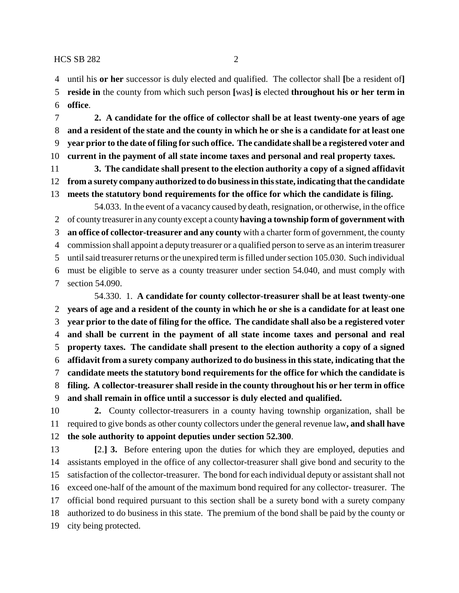until his **or her** successor is duly elected and qualified. The collector shall **[**be a resident of**] reside in** the county from which such person **[**was**] is** elected **throughout his or her term in office**.

 **2. A candidate for the office of collector shall be at least twenty-one years of age and a resident of the state and the county in which he or she is a candidate for at least one year prior to the date of filing for such office. The candidate shall be a registered voter and current in the payment of all state income taxes and personal and real property taxes.**

 **3. The candidate shall present to the election authority a copy of a signed affidavit from a surety company authorized to do business in this state, indicating that the candidate meets the statutory bond requirements for the office for which the candidate is filing.**

54.033. In the event of a vacancy caused by death, resignation, or otherwise, in the office of county treasurer in any county except a county **having a township form of government with an office of collector-treasurer and any county** with a charter form of government, the county commission shall appoint a deputy treasurer or a qualified person to serve as an interim treasurer until said treasurer returns or the unexpired term is filled under section 105.030. Such individual must be eligible to serve as a county treasurer under section 54.040, and must comply with section 54.090.

54.330. 1. **A candidate for county collector-treasurer shall be at least twenty-one years of age and a resident of the county in which he or she is a candidate for at least one year prior to the date of filing for the office. The candidate shall also be a registered voter and shall be current in the payment of all state income taxes and personal and real property taxes. The candidate shall present to the election authority a copy of a signed affidavit from a surety company authorized to do business in this state, indicating that the candidate meets the statutory bond requirements for the office for which the candidate is filing. A collector-treasurer shall reside in the county throughout his or her term in office and shall remain in office until a successor is duly elected and qualified.**

 **2.** County collector-treasurers in a county having township organization, shall be required to give bonds as other county collectors under the general revenue law**, and shall have the sole authority to appoint deputies under section 52.300**.

 **[**2.**] 3.** Before entering upon the duties for which they are employed, deputies and assistants employed in the office of any collector-treasurer shall give bond and security to the satisfaction of the collector-treasurer. The bond for each individual deputy or assistant shall not exceed one-half of the amount of the maximum bond required for any collector- treasurer. The official bond required pursuant to this section shall be a surety bond with a surety company authorized to do business in this state. The premium of the bond shall be paid by the county or city being protected.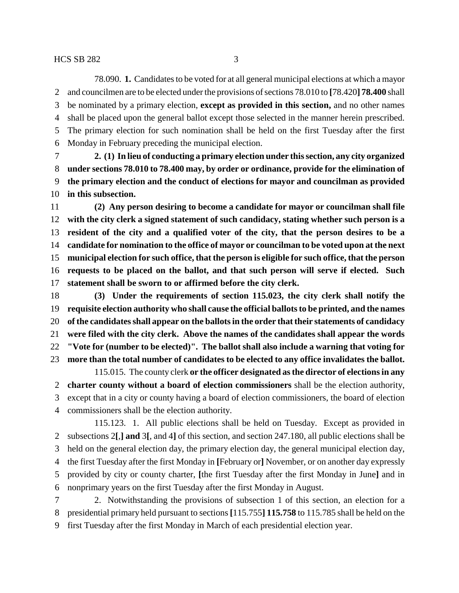78.090. **1.** Candidates to be voted for at all general municipal elections at which a mayor and councilmen are to be elected under the provisions of sections 78.010 to **[**78.420**] 78.400** shall be nominated by a primary election, **except as provided in this section,** and no other names shall be placed upon the general ballot except those selected in the manner herein prescribed. The primary election for such nomination shall be held on the first Tuesday after the first Monday in February preceding the municipal election.

 **2. (1) In lieu of conducting a primary election under this section, any city organized under sections 78.010 to 78.400 may, by order or ordinance, provide for the elimination of the primary election and the conduct of elections for mayor and councilman as provided in this subsection.**

 **(2) Any person desiring to become a candidate for mayor or councilman shall file with the city clerk a signed statement of such candidacy, stating whether such person is a resident of the city and a qualified voter of the city, that the person desires to be a candidate for nomination to the office of mayor or councilman to be voted upon at the next municipal election for such office, that the person is eligible for such office, that the person requests to be placed on the ballot, and that such person will serve if elected. Such statement shall be sworn to or affirmed before the city clerk.**

 **(3) Under the requirements of section 115.023, the city clerk shall notify the requisite election authority who shall cause the official ballots to be printed, and the names of the candidates shall appear on the ballots in the order that their statements of candidacy were filed with the city clerk. Above the names of the candidates shall appear the words "Vote for (number to be elected)". The ballot shall also include a warning that voting for more than the total number of candidates to be elected to any office invalidates the ballot.**

115.015. The county clerk **or the officer designated as the director of elections in any charter county without a board of election commissioners** shall be the election authority, except that in a city or county having a board of election commissioners, the board of election commissioners shall be the election authority.

115.123. 1. All public elections shall be held on Tuesday. Except as provided in subsections 2**[**,**] and** 3**[**, and 4**]** of this section, and section 247.180, all public elections shall be held on the general election day, the primary election day, the general municipal election day, the first Tuesday after the first Monday in **[**February or**]** November, or on another day expressly provided by city or county charter, **[**the first Tuesday after the first Monday in June**]** and in nonprimary years on the first Tuesday after the first Monday in August.

 2. Notwithstanding the provisions of subsection 1 of this section, an election for a presidential primary held pursuant to sections **[**115.755**] 115.758** to 115.785 shall be held on the first Tuesday after the first Monday in March of each presidential election year.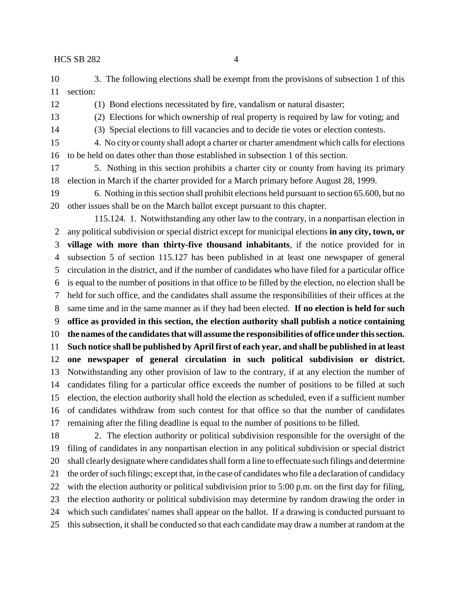- 3. The following elections shall be exempt from the provisions of subsection 1 of this section:
- 

(1) Bond elections necessitated by fire, vandalism or natural disaster;

- (2) Elections for which ownership of real property is required by law for voting; and
- (3) Special elections to fill vacancies and to decide tie votes or election contests.
- 4. No city or county shall adopt a charter or charter amendment which calls for elections to be held on dates other than those established in subsection 1 of this section.
- 5. Nothing in this section prohibits a charter city or county from having its primary election in March if the charter provided for a March primary before August 28, 1999.
- 6. Nothing in this section shall prohibit elections held pursuant to section 65.600, but no other issues shall be on the March ballot except pursuant to this chapter.

115.124. 1. Notwithstanding any other law to the contrary, in a nonpartisan election in any political subdivision or special district except for municipal elections **in any city, town, or village with more than thirty-five thousand inhabitants**, if the notice provided for in subsection 5 of section 115.127 has been published in at least one newspaper of general circulation in the district, and if the number of candidates who have filed for a particular office is equal to the number of positions in that office to be filled by the election, no election shall be held for such office, and the candidates shall assume the responsibilities of their offices at the same time and in the same manner as if they had been elected. **If no election is held for such office as provided in this section, the election authority shall publish a notice containing the names of the candidates that will assume the responsibilities of office under this section. Such notice shall be published by April first of each year, and shall be published in at least one newspaper of general circulation in such political subdivision or district.** Notwithstanding any other provision of law to the contrary, if at any election the number of candidates filing for a particular office exceeds the number of positions to be filled at such election, the election authority shall hold the election as scheduled, even if a sufficient number of candidates withdraw from such contest for that office so that the number of candidates remaining after the filing deadline is equal to the number of positions to be filled.

 2. The election authority or political subdivision responsible for the oversight of the filing of candidates in any nonpartisan election in any political subdivision or special district shall clearly designate where candidates shall form a line to effectuate such filings and determine the order of such filings; except that, in the case of candidates who file a declaration of candidacy with the election authority or political subdivision prior to 5:00 p.m. on the first day for filing, the election authority or political subdivision may determine by random drawing the order in which such candidates' names shall appear on the ballot. If a drawing is conducted pursuant to this subsection, it shall be conducted so that each candidate may draw a number at random at the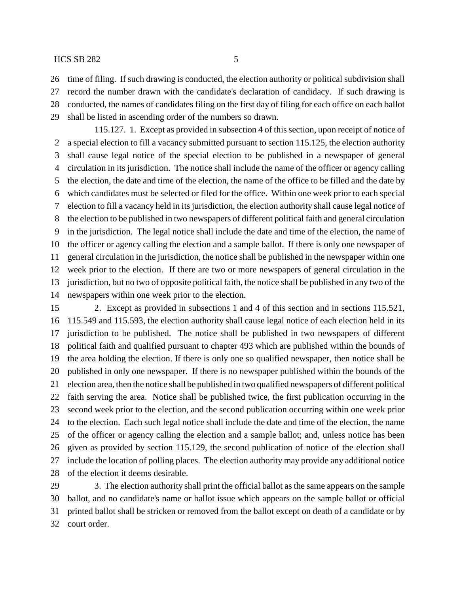time of filing. If such drawing is conducted, the election authority or political subdivision shall

record the number drawn with the candidate's declaration of candidacy. If such drawing is

 conducted, the names of candidates filing on the first day of filing for each office on each ballot shall be listed in ascending order of the numbers so drawn.

115.127. 1. Except as provided in subsection 4 of this section, upon receipt of notice of a special election to fill a vacancy submitted pursuant to section 115.125, the election authority shall cause legal notice of the special election to be published in a newspaper of general circulation in its jurisdiction. The notice shall include the name of the officer or agency calling the election, the date and time of the election, the name of the office to be filled and the date by which candidates must be selected or filed for the office. Within one week prior to each special election to fill a vacancy held in its jurisdiction, the election authority shall cause legal notice of the election to be published in two newspapers of different political faith and general circulation in the jurisdiction. The legal notice shall include the date and time of the election, the name of the officer or agency calling the election and a sample ballot. If there is only one newspaper of general circulation in the jurisdiction, the notice shall be published in the newspaper within one week prior to the election. If there are two or more newspapers of general circulation in the jurisdiction, but no two of opposite political faith, the notice shall be published in any two of the newspapers within one week prior to the election.

 2. Except as provided in subsections 1 and 4 of this section and in sections 115.521, 115.549 and 115.593, the election authority shall cause legal notice of each election held in its jurisdiction to be published. The notice shall be published in two newspapers of different political faith and qualified pursuant to chapter 493 which are published within the bounds of the area holding the election. If there is only one so qualified newspaper, then notice shall be published in only one newspaper. If there is no newspaper published within the bounds of the election area, then the notice shall be published in two qualified newspapers of different political faith serving the area. Notice shall be published twice, the first publication occurring in the second week prior to the election, and the second publication occurring within one week prior to the election. Each such legal notice shall include the date and time of the election, the name of the officer or agency calling the election and a sample ballot; and, unless notice has been given as provided by section 115.129, the second publication of notice of the election shall include the location of polling places. The election authority may provide any additional notice of the election it deems desirable.

 3. The election authority shall print the official ballot as the same appears on the sample ballot, and no candidate's name or ballot issue which appears on the sample ballot or official printed ballot shall be stricken or removed from the ballot except on death of a candidate or by court order.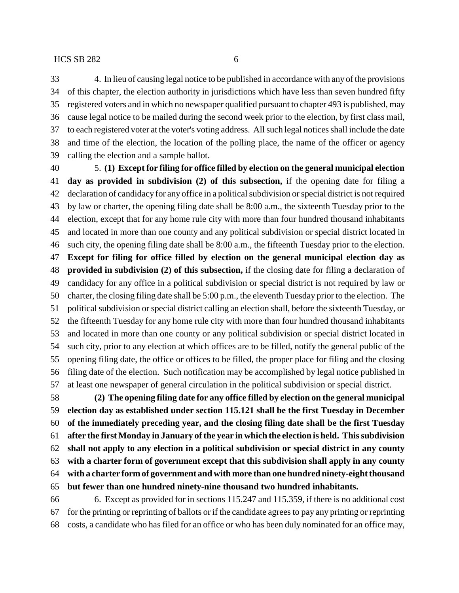4. In lieu of causing legal notice to be published in accordance with any of the provisions of this chapter, the election authority in jurisdictions which have less than seven hundred fifty registered voters and in which no newspaper qualified pursuant to chapter 493 is published, may cause legal notice to be mailed during the second week prior to the election, by first class mail, to each registered voter at the voter's voting address. All such legal notices shall include the date and time of the election, the location of the polling place, the name of the officer or agency calling the election and a sample ballot.

 5. **(1) Except for filing for office filled by election on the general municipal election day as provided in subdivision (2) of this subsection,** if the opening date for filing a declaration of candidacy for any office in a political subdivision or special district is not required by law or charter, the opening filing date shall be 8:00 a.m., the sixteenth Tuesday prior to the election, except that for any home rule city with more than four hundred thousand inhabitants and located in more than one county and any political subdivision or special district located in such city, the opening filing date shall be 8:00 a.m., the fifteenth Tuesday prior to the election. **Except for filing for office filled by election on the general municipal election day as provided in subdivision (2) of this subsection,** if the closing date for filing a declaration of candidacy for any office in a political subdivision or special district is not required by law or charter, the closing filing date shall be 5:00 p.m., the eleventh Tuesday prior to the election. The political subdivision or special district calling an election shall, before the sixteenth Tuesday, or the fifteenth Tuesday for any home rule city with more than four hundred thousand inhabitants and located in more than one county or any political subdivision or special district located in such city, prior to any election at which offices are to be filled, notify the general public of the opening filing date, the office or offices to be filled, the proper place for filing and the closing filing date of the election. Such notification may be accomplished by legal notice published in at least one newspaper of general circulation in the political subdivision or special district.

 **(2) The opening filing date for any office filled by election on the general municipal election day as established under section 115.121 shall be the first Tuesday in December of the immediately preceding year, and the closing filing date shall be the first Tuesday after the first Monday in January of the year in which the election is held. This subdivision shall not apply to any election in a political subdivision or special district in any county with a charter form of government except that this subdivision shall apply in any county with a charter form of government and with more than one hundred ninety-eight thousand but fewer than one hundred ninety-nine thousand two hundred inhabitants.**

 6. Except as provided for in sections 115.247 and 115.359, if there is no additional cost for the printing or reprinting of ballots or if the candidate agrees to pay any printing or reprinting costs, a candidate who has filed for an office or who has been duly nominated for an office may,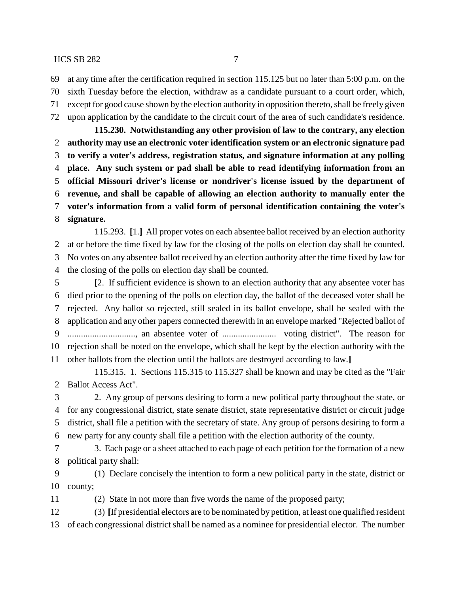at any time after the certification required in section 115.125 but no later than 5:00 p.m. on the

- sixth Tuesday before the election, withdraw as a candidate pursuant to a court order, which,
- except for good cause shown by the election authority in opposition thereto, shall be freely given upon application by the candidate to the circuit court of the area of such candidate's residence.

**115.230. Notwithstanding any other provision of law to the contrary, any election authority may use an electronic voter identification system or an electronic signature pad to verify a voter's address, registration status, and signature information at any polling place. Any such system or pad shall be able to read identifying information from an official Missouri driver's license or nondriver's license issued by the department of revenue, and shall be capable of allowing an election authority to manually enter the voter's information from a valid form of personal identification containing the voter's signature.**

115.293. **[**1.**]** All proper votes on each absentee ballot received by an election authority at or before the time fixed by law for the closing of the polls on election day shall be counted. No votes on any absentee ballot received by an election authority after the time fixed by law for the closing of the polls on election day shall be counted.

 **[**2. If sufficient evidence is shown to an election authority that any absentee voter has died prior to the opening of the polls on election day, the ballot of the deceased voter shall be rejected. Any ballot so rejected, still sealed in its ballot envelope, shall be sealed with the application and any other papers connected therewith in an envelope marked "Rejected ballot of .............................., an absentee voter of ........................ voting district". The reason for rejection shall be noted on the envelope, which shall be kept by the election authority with the other ballots from the election until the ballots are destroyed according to law.**]**

115.315. 1. Sections 115.315 to 115.327 shall be known and may be cited as the "Fair Ballot Access Act".

 2. Any group of persons desiring to form a new political party throughout the state, or for any congressional district, state senate district, state representative district or circuit judge district, shall file a petition with the secretary of state. Any group of persons desiring to form a new party for any county shall file a petition with the election authority of the county.

 3. Each page or a sheet attached to each page of each petition for the formation of a new political party shall:

 (1) Declare concisely the intention to form a new political party in the state, district or county;

(2) State in not more than five words the name of the proposed party;

 (3) **[**If presidential electors are to be nominated by petition, at least one qualified resident of each congressional district shall be named as a nominee for presidential elector. The number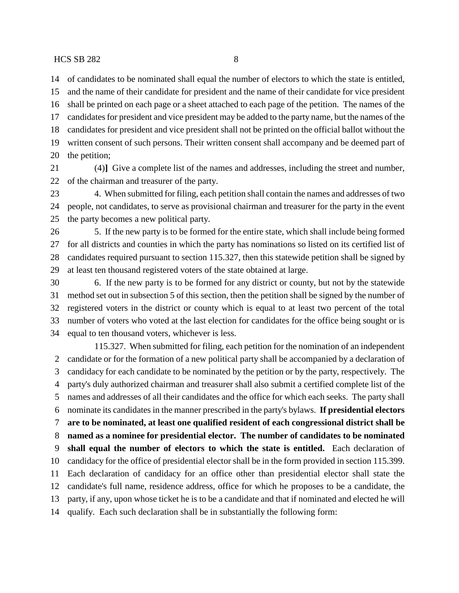of candidates to be nominated shall equal the number of electors to which the state is entitled, and the name of their candidate for president and the name of their candidate for vice president shall be printed on each page or a sheet attached to each page of the petition. The names of the candidates for president and vice president may be added to the party name, but the names of the candidates for president and vice president shall not be printed on the official ballot without the written consent of such persons. Their written consent shall accompany and be deemed part of

the petition;

 (4)**]** Give a complete list of the names and addresses, including the street and number, of the chairman and treasurer of the party.

 4. When submitted for filing, each petition shall contain the names and addresses of two people, not candidates, to serve as provisional chairman and treasurer for the party in the event the party becomes a new political party.

 5. If the new party is to be formed for the entire state, which shall include being formed for all districts and counties in which the party has nominations so listed on its certified list of candidates required pursuant to section 115.327, then this statewide petition shall be signed by at least ten thousand registered voters of the state obtained at large.

 6. If the new party is to be formed for any district or county, but not by the statewide method set out in subsection 5 of this section, then the petition shall be signed by the number of registered voters in the district or county which is equal to at least two percent of the total number of voters who voted at the last election for candidates for the office being sought or is equal to ten thousand voters, whichever is less.

115.327. When submitted for filing, each petition for the nomination of an independent candidate or for the formation of a new political party shall be accompanied by a declaration of candidacy for each candidate to be nominated by the petition or by the party, respectively. The party's duly authorized chairman and treasurer shall also submit a certified complete list of the names and addresses of all their candidates and the office for which each seeks. The party shall nominate its candidates in the manner prescribed in the party's bylaws. **If presidential electors are to be nominated, at least one qualified resident of each congressional district shall be named as a nominee for presidential elector. The number of candidates to be nominated shall equal the number of electors to which the state is entitled.** Each declaration of candidacy for the office of presidential elector shall be in the form provided in section 115.399. Each declaration of candidacy for an office other than presidential elector shall state the candidate's full name, residence address, office for which he proposes to be a candidate, the party, if any, upon whose ticket he is to be a candidate and that if nominated and elected he will qualify. Each such declaration shall be in substantially the following form: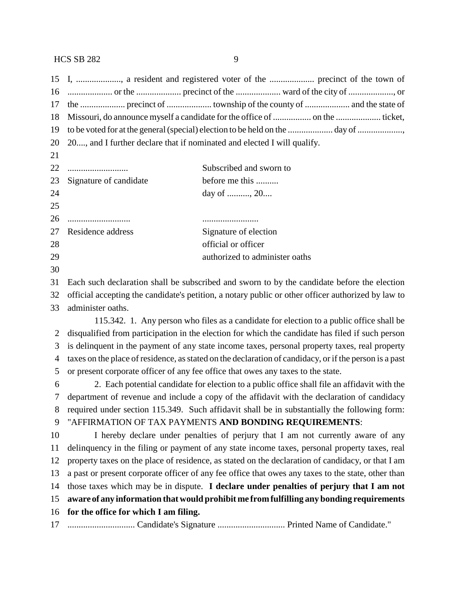| 16 |                                                                                                        |                                                                                          |  |
|----|--------------------------------------------------------------------------------------------------------|------------------------------------------------------------------------------------------|--|
| 17 |                                                                                                        |                                                                                          |  |
| 18 |                                                                                                        |                                                                                          |  |
| 19 |                                                                                                        |                                                                                          |  |
| 20 | 20, and I further declare that if nominated and elected I will qualify.                                |                                                                                          |  |
| 21 |                                                                                                        |                                                                                          |  |
| 22 |                                                                                                        | Subscribed and sworn to                                                                  |  |
| 23 | Signature of candidate                                                                                 | before me this                                                                           |  |
| 24 |                                                                                                        | day of , 20                                                                              |  |
| 25 |                                                                                                        |                                                                                          |  |
| 26 |                                                                                                        |                                                                                          |  |
| 27 | Residence address                                                                                      | Signature of election                                                                    |  |
| 28 |                                                                                                        | official or officer                                                                      |  |
| 29 |                                                                                                        | authorized to administer oaths                                                           |  |
| 30 |                                                                                                        |                                                                                          |  |
| 31 | Each such declaration shall be subscribed and sworn to by the candidate before the election            |                                                                                          |  |
| 32 | official accepting the candidate's petition, a notary public or other officer authorized by law to     |                                                                                          |  |
| 33 | administer oaths.                                                                                      |                                                                                          |  |
|    |                                                                                                        | 115.342. 1. Any person who files as a candidate for election to a public office shall be |  |
| 2  | disqualified from participation in the election for which the candidate has filed if such person       |                                                                                          |  |
| 3  | is delinquent in the payment of any state income taxes, personal property taxes, real property         |                                                                                          |  |
| 4  | taxes on the place of residence, as stated on the declaration of candidacy, or if the person is a past |                                                                                          |  |
| 5  | or present corporate officer of any fee office that owes any taxes to the state.                       |                                                                                          |  |
| 6  | 2. Each potential candidate for election to a public office shall file an affidavit with the           |                                                                                          |  |
| 7  | department of revenue and include a copy of the affidavit with the declaration of candidacy            |                                                                                          |  |
| 8  | required under section 115.349. Such affidavit shall be in substantially the following form:           |                                                                                          |  |
| 9  | "AFFIRMATION OF TAX PAYMENTS AND BONDING REQUIREMENTS:                                                 |                                                                                          |  |
| 10 | I hereby declare under penalties of perjury that I am not currently aware of any                       |                                                                                          |  |
| 11 | delinquency in the filing or payment of any state income taxes, personal property taxes, real          |                                                                                          |  |
| 12 | property taxes on the place of residence, as stated on the declaration of candidacy, or that I am      |                                                                                          |  |
| 13 | a past or present corporate officer of any fee office that owes any taxes to the state, other than     |                                                                                          |  |
| 14 | those taxes which may be in dispute. I declare under penalties of perjury that I am not                |                                                                                          |  |
| 15 | aware of any information that would prohibit me from fulfilling any bonding requirements               |                                                                                          |  |
| 16 | for the office for which I am filing.                                                                  |                                                                                          |  |
|    |                                                                                                        |                                                                                          |  |

.............................. Candidate's Signature .............................. Printed Name of Candidate."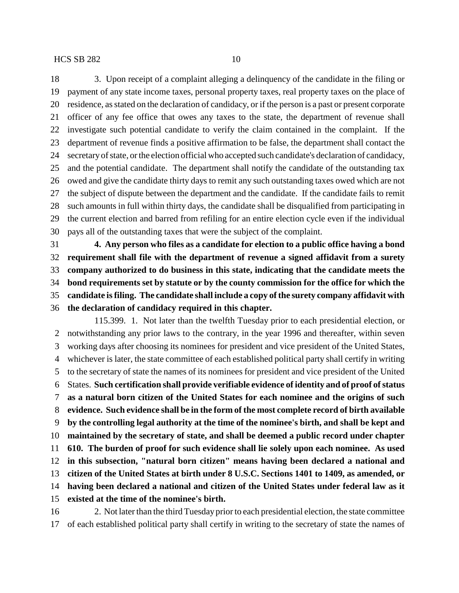3. Upon receipt of a complaint alleging a delinquency of the candidate in the filing or payment of any state income taxes, personal property taxes, real property taxes on the place of residence, as stated on the declaration of candidacy, or if the person is a past or present corporate officer of any fee office that owes any taxes to the state, the department of revenue shall investigate such potential candidate to verify the claim contained in the complaint. If the department of revenue finds a positive affirmation to be false, the department shall contact the secretary of state, or the election official who accepted such candidate's declaration of candidacy, and the potential candidate. The department shall notify the candidate of the outstanding tax owed and give the candidate thirty days to remit any such outstanding taxes owed which are not the subject of dispute between the department and the candidate. If the candidate fails to remit such amounts in full within thirty days, the candidate shall be disqualified from participating in the current election and barred from refiling for an entire election cycle even if the individual pays all of the outstanding taxes that were the subject of the complaint.

 **4. Any person who files as a candidate for election to a public office having a bond requirement shall file with the department of revenue a signed affidavit from a surety company authorized to do business in this state, indicating that the candidate meets the bond requirements set by statute or by the county commission for the office for which the candidate is filing. The candidate shall include a copy of the surety company affidavit with the declaration of candidacy required in this chapter.**

115.399. 1. Not later than the twelfth Tuesday prior to each presidential election, or notwithstanding any prior laws to the contrary, in the year 1996 and thereafter, within seven working days after choosing its nominees for president and vice president of the United States, whichever is later, the state committee of each established political party shall certify in writing to the secretary of state the names of its nominees for president and vice president of the United States. **Such certification shall provide verifiable evidence of identity and of proof of status as a natural born citizen of the United States for each nominee and the origins of such evidence. Such evidence shall be in the form of the most complete record of birth available by the controlling legal authority at the time of the nominee's birth, and shall be kept and maintained by the secretary of state, and shall be deemed a public record under chapter 610. The burden of proof for such evidence shall lie solely upon each nominee. As used in this subsection, "natural born citizen" means having been declared a national and citizen of the United States at birth under 8 U.S.C. Sections 1401 to 1409, as amended, or having been declared a national and citizen of the United States under federal law as it existed at the time of the nominee's birth.**

 2. Not later than the third Tuesday prior to each presidential election, the state committee of each established political party shall certify in writing to the secretary of state the names of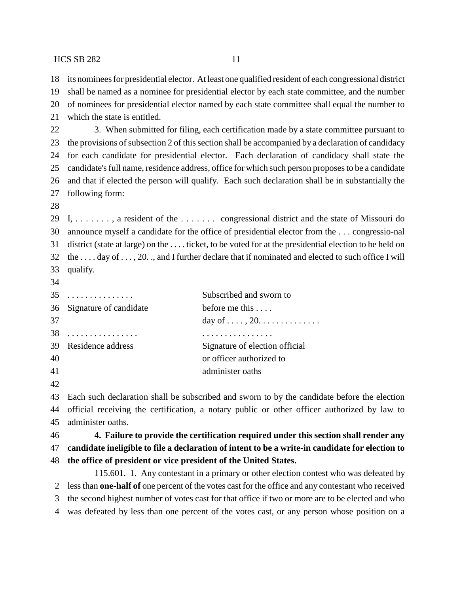its nominees for presidential elector. At least one qualified resident of each congressional district

- shall be named as a nominee for presidential elector by each state committee, and the number of nominees for presidential elector named by each state committee shall equal the number to
- which the state is entitled.

22 3. When submitted for filing, each certification made by a state committee pursuant to the provisions of subsection 2 of this section shall be accompanied by a declaration of candidacy for each candidate for presidential elector. Each declaration of candidacy shall state the candidate's full name, residence address, office for which such person proposes to be a candidate and that if elected the person will qualify. Each such declaration shall be in substantially the following form:

 I, . . . . . . . , a resident of the . . . . . . . congressional district and the state of Missouri do announce myself a candidate for the office of presidential elector from the . . . congressio-nal district (state at large) on the . . . . ticket, to be voted for at the presidential election to be held on the . . . . day of . . . , 20. ., and I further declare that if nominated and elected to such office I will qualify.

|    | $35$                      | Subscribed and sworn to        |
|----|---------------------------|--------------------------------|
|    | 36 Signature of candidate | before me this                 |
| 37 |                           |                                |
| 38 | .                         |                                |
|    | 39 Residence address      | Signature of election official |
| 40 |                           | or officer authorized to       |
| 41 |                           | administer oaths               |
|    |                           |                                |

 Each such declaration shall be subscribed and sworn to by the candidate before the election official receiving the certification, a notary public or other officer authorized by law to administer oaths.

 **4. Failure to provide the certification required under this section shall render any candidate ineligible to file a declaration of intent to be a write-in candidate for election to the office of president or vice president of the United States.**

115.601. 1. Any contestant in a primary or other election contest who was defeated by less than **one-half of** one percent of the votes cast for the office and any contestant who received the second highest number of votes cast for that office if two or more are to be elected and who was defeated by less than one percent of the votes cast, or any person whose position on a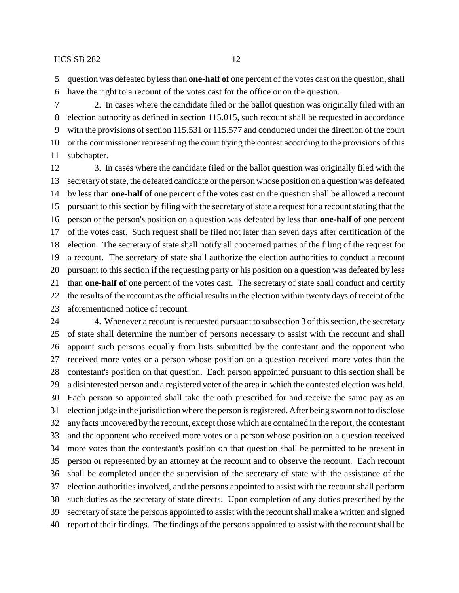question was defeated by less than **one-half of** one percent of the votes cast on the question, shall have the right to a recount of the votes cast for the office or on the question.

 2. In cases where the candidate filed or the ballot question was originally filed with an election authority as defined in section 115.015, such recount shall be requested in accordance with the provisions of section 115.531 or 115.577 and conducted under the direction of the court or the commissioner representing the court trying the contest according to the provisions of this subchapter.

 3. In cases where the candidate filed or the ballot question was originally filed with the secretary of state, the defeated candidate or the person whose position on a question was defeated by less than **one-half of** one percent of the votes cast on the question shall be allowed a recount pursuant to this section by filing with the secretary of state a request for a recount stating that the person or the person's position on a question was defeated by less than **one-half of** one percent of the votes cast. Such request shall be filed not later than seven days after certification of the election. The secretary of state shall notify all concerned parties of the filing of the request for a recount. The secretary of state shall authorize the election authorities to conduct a recount pursuant to this section if the requesting party or his position on a question was defeated by less than **one-half of** one percent of the votes cast. The secretary of state shall conduct and certify the results of the recount as the official results in the election within twenty days of receipt of the aforementioned notice of recount.

24 4. Whenever a recount is requested pursuant to subsection 3 of this section, the secretary of state shall determine the number of persons necessary to assist with the recount and shall appoint such persons equally from lists submitted by the contestant and the opponent who received more votes or a person whose position on a question received more votes than the contestant's position on that question. Each person appointed pursuant to this section shall be a disinterested person and a registered voter of the area in which the contested election was held. Each person so appointed shall take the oath prescribed for and receive the same pay as an election judge in the jurisdiction where the person is registered. After being sworn not to disclose any facts uncovered by the recount, except those which are contained in the report, the contestant and the opponent who received more votes or a person whose position on a question received more votes than the contestant's position on that question shall be permitted to be present in person or represented by an attorney at the recount and to observe the recount. Each recount shall be completed under the supervision of the secretary of state with the assistance of the election authorities involved, and the persons appointed to assist with the recount shall perform such duties as the secretary of state directs. Upon completion of any duties prescribed by the secretary of state the persons appointed to assist with the recount shall make a written and signed report of their findings. The findings of the persons appointed to assist with the recount shall be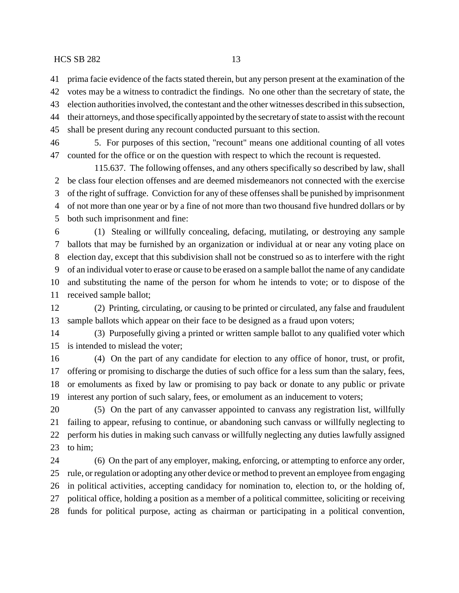prima facie evidence of the facts stated therein, but any person present at the examination of the

 votes may be a witness to contradict the findings. No one other than the secretary of state, the election authorities involved, the contestant and the other witnesses described in this subsection,

their attorneys, and those specifically appointed by the secretary of state to assist with the recount

shall be present during any recount conducted pursuant to this section.

 5. For purposes of this section, "recount" means one additional counting of all votes counted for the office or on the question with respect to which the recount is requested.

115.637. The following offenses, and any others specifically so described by law, shall be class four election offenses and are deemed misdemeanors not connected with the exercise of the right of suffrage. Conviction for any of these offenses shall be punished by imprisonment of not more than one year or by a fine of not more than two thousand five hundred dollars or by both such imprisonment and fine:

 (1) Stealing or willfully concealing, defacing, mutilating, or destroying any sample ballots that may be furnished by an organization or individual at or near any voting place on election day, except that this subdivision shall not be construed so as to interfere with the right of an individual voter to erase or cause to be erased on a sample ballot the name of any candidate and substituting the name of the person for whom he intends to vote; or to dispose of the received sample ballot;

 (2) Printing, circulating, or causing to be printed or circulated, any false and fraudulent sample ballots which appear on their face to be designed as a fraud upon voters;

 (3) Purposefully giving a printed or written sample ballot to any qualified voter which is intended to mislead the voter;

 (4) On the part of any candidate for election to any office of honor, trust, or profit, offering or promising to discharge the duties of such office for a less sum than the salary, fees, or emoluments as fixed by law or promising to pay back or donate to any public or private interest any portion of such salary, fees, or emolument as an inducement to voters;

 (5) On the part of any canvasser appointed to canvass any registration list, willfully failing to appear, refusing to continue, or abandoning such canvass or willfully neglecting to perform his duties in making such canvass or willfully neglecting any duties lawfully assigned to him;

 (6) On the part of any employer, making, enforcing, or attempting to enforce any order, rule, or regulation or adopting any other device or method to prevent an employee from engaging in political activities, accepting candidacy for nomination to, election to, or the holding of, political office, holding a position as a member of a political committee, soliciting or receiving funds for political purpose, acting as chairman or participating in a political convention,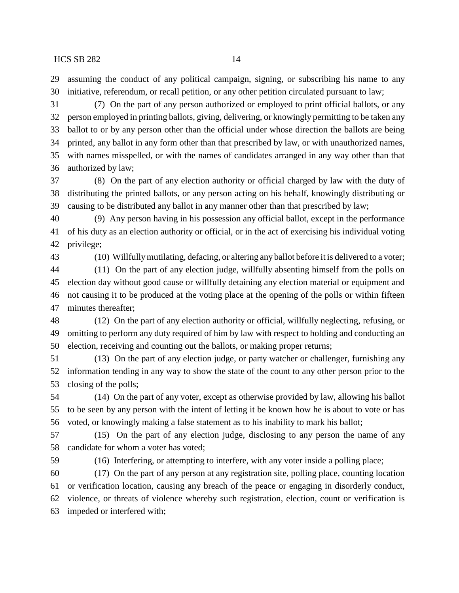assuming the conduct of any political campaign, signing, or subscribing his name to any initiative, referendum, or recall petition, or any other petition circulated pursuant to law;

 (7) On the part of any person authorized or employed to print official ballots, or any person employed in printing ballots, giving, delivering, or knowingly permitting to be taken any ballot to or by any person other than the official under whose direction the ballots are being printed, any ballot in any form other than that prescribed by law, or with unauthorized names, with names misspelled, or with the names of candidates arranged in any way other than that authorized by law;

 (8) On the part of any election authority or official charged by law with the duty of distributing the printed ballots, or any person acting on his behalf, knowingly distributing or causing to be distributed any ballot in any manner other than that prescribed by law;

 (9) Any person having in his possession any official ballot, except in the performance of his duty as an election authority or official, or in the act of exercising his individual voting privilege;

(10) Willfully mutilating, defacing, or altering any ballot before it is delivered to a voter;

 (11) On the part of any election judge, willfully absenting himself from the polls on election day without good cause or willfully detaining any election material or equipment and not causing it to be produced at the voting place at the opening of the polls or within fifteen minutes thereafter;

 (12) On the part of any election authority or official, willfully neglecting, refusing, or omitting to perform any duty required of him by law with respect to holding and conducting an election, receiving and counting out the ballots, or making proper returns;

 (13) On the part of any election judge, or party watcher or challenger, furnishing any information tending in any way to show the state of the count to any other person prior to the closing of the polls;

 (14) On the part of any voter, except as otherwise provided by law, allowing his ballot to be seen by any person with the intent of letting it be known how he is about to vote or has voted, or knowingly making a false statement as to his inability to mark his ballot;

 (15) On the part of any election judge, disclosing to any person the name of any candidate for whom a voter has voted;

(16) Interfering, or attempting to interfere, with any voter inside a polling place;

 (17) On the part of any person at any registration site, polling place, counting location or verification location, causing any breach of the peace or engaging in disorderly conduct, violence, or threats of violence whereby such registration, election, count or verification is impeded or interfered with;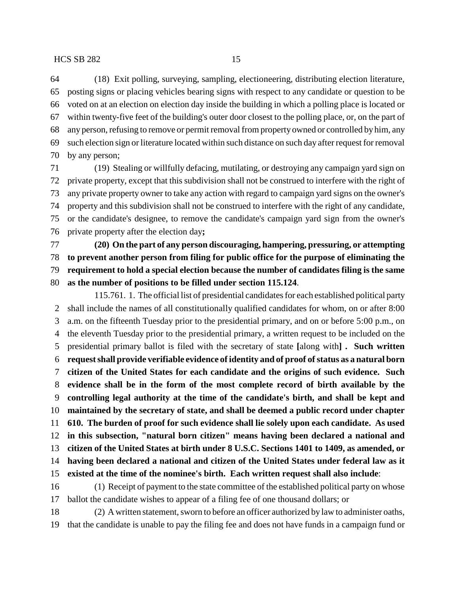(18) Exit polling, surveying, sampling, electioneering, distributing election literature, posting signs or placing vehicles bearing signs with respect to any candidate or question to be voted on at an election on election day inside the building in which a polling place is located or within twenty-five feet of the building's outer door closest to the polling place, or, on the part of any person, refusing to remove or permit removal from property owned or controlled by him, any such election sign or literature located within such distance on such day after request for removal by any person;

 (19) Stealing or willfully defacing, mutilating, or destroying any campaign yard sign on private property, except that this subdivision shall not be construed to interfere with the right of any private property owner to take any action with regard to campaign yard signs on the owner's property and this subdivision shall not be construed to interfere with the right of any candidate, or the candidate's designee, to remove the candidate's campaign yard sign from the owner's private property after the election day**;**

 **(20) On the part of any person discouraging, hampering, pressuring, or attempting to prevent another person from filing for public office for the purpose of eliminating the requirement to hold a special election because the number of candidates filing is the same as the number of positions to be filled under section 115.124**.

115.761. 1. The official list of presidential candidates for each established political party shall include the names of all constitutionally qualified candidates for whom, on or after 8:00 a.m. on the fifteenth Tuesday prior to the presidential primary, and on or before 5:00 p.m., on the eleventh Tuesday prior to the presidential primary, a written request to be included on the presidential primary ballot is filed with the secretary of state **[**along with**] . Such written request shall provide verifiable evidence of identity and of proof of status as a natural born citizen of the United States for each candidate and the origins of such evidence. Such evidence shall be in the form of the most complete record of birth available by the controlling legal authority at the time of the candidate's birth, and shall be kept and maintained by the secretary of state, and shall be deemed a public record under chapter 610. The burden of proof for such evidence shall lie solely upon each candidate. As used in this subsection, "natural born citizen" means having been declared a national and citizen of the United States at birth under 8 U.S.C. Sections 1401 to 1409, as amended, or having been declared a national and citizen of the United States under federal law as it existed at the time of the nominee's birth. Each written request shall also include**: (1) Receipt of payment to the state committee of the established political party on whose

ballot the candidate wishes to appear of a filing fee of one thousand dollars; or

 (2) A written statement, sworn to before an officer authorized by law to administer oaths, that the candidate is unable to pay the filing fee and does not have funds in a campaign fund or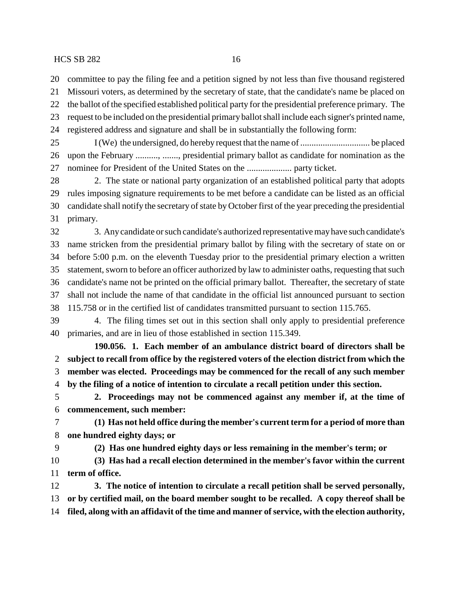committee to pay the filing fee and a petition signed by not less than five thousand registered

Missouri voters, as determined by the secretary of state, that the candidate's name be placed on

the ballot of the specified established political party for the presidential preference primary. The

 request to be included on the presidential primary ballot shall include each signer's printed name, registered address and signature and shall be in substantially the following form:

 I (We) the undersigned, do hereby request that the name of ............................... be placed upon the February .........., ......., presidential primary ballot as candidate for nomination as the nominee for President of the United States on the .................... party ticket.

 2. The state or national party organization of an established political party that adopts rules imposing signature requirements to be met before a candidate can be listed as an official candidate shall notify the secretary of state by October first of the year preceding the presidential primary.

 3. Any candidate or such candidate's authorized representative may have such candidate's name stricken from the presidential primary ballot by filing with the secretary of state on or before 5:00 p.m. on the eleventh Tuesday prior to the presidential primary election a written statement, sworn to before an officer authorized by law to administer oaths, requesting that such candidate's name not be printed on the official primary ballot. Thereafter, the secretary of state shall not include the name of that candidate in the official list announced pursuant to section 115.758 or in the certified list of candidates transmitted pursuant to section 115.765.

 4. The filing times set out in this section shall only apply to presidential preference primaries, and are in lieu of those established in section 115.349.

**190.056. 1. Each member of an ambulance district board of directors shall be subject to recall from office by the registered voters of the election district from which the member was elected. Proceedings may be commenced for the recall of any such member by the filing of a notice of intention to circulate a recall petition under this section.**

 **2. Proceedings may not be commenced against any member if, at the time of commencement, such member:**

 **(1) Has not held office during the member's current term for a period of more than one hundred eighty days; or**

**(2) Has one hundred eighty days or less remaining in the member's term; or**

 **(3) Has had a recall election determined in the member's favor within the current term of office.**

 **3. The notice of intention to circulate a recall petition shall be served personally, or by certified mail, on the board member sought to be recalled. A copy thereof shall be filed, along with an affidavit of the time and manner of service, with the election authority,**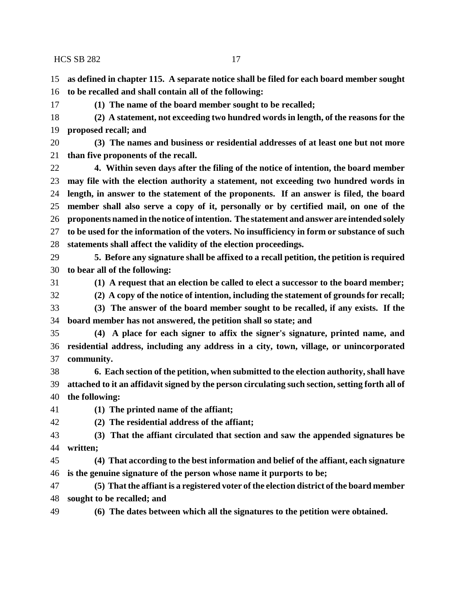**as defined in chapter 115. A separate notice shall be filed for each board member sought to be recalled and shall contain all of the following:**

**(1) The name of the board member sought to be recalled;**

 **(2) A statement, not exceeding two hundred words in length, of the reasons for the proposed recall; and**

 **(3) The names and business or residential addresses of at least one but not more than five proponents of the recall.**

 **4. Within seven days after the filing of the notice of intention, the board member may file with the election authority a statement, not exceeding two hundred words in length, in answer to the statement of the proponents. If an answer is filed, the board member shall also serve a copy of it, personally or by certified mail, on one of the proponents named in the notice of intention. The statement and answer are intended solely to be used for the information of the voters. No insufficiency in form or substance of such statements shall affect the validity of the election proceedings.**

 **5. Before any signature shall be affixed to a recall petition, the petition is required to bear all of the following:**

**(1) A request that an election be called to elect a successor to the board member;**

**(2) A copy of the notice of intention, including the statement of grounds for recall;**

 **(3) The answer of the board member sought to be recalled, if any exists. If the board member has not answered, the petition shall so state; and**

 **(4) A place for each signer to affix the signer's signature, printed name, and residential address, including any address in a city, town, village, or unincorporated community.**

 **6. Each section of the petition, when submitted to the election authority, shall have attached to it an affidavit signed by the person circulating such section, setting forth all of the following:**

**(1) The printed name of the affiant;**

**(2) The residential address of the affiant;**

 **(3) That the affiant circulated that section and saw the appended signatures be written;**

 **(4) That according to the best information and belief of the affiant, each signature is the genuine signature of the person whose name it purports to be;**

 **(5) That the affiant is a registered voter of the election district of the board member sought to be recalled; and**

**(6) The dates between which all the signatures to the petition were obtained.**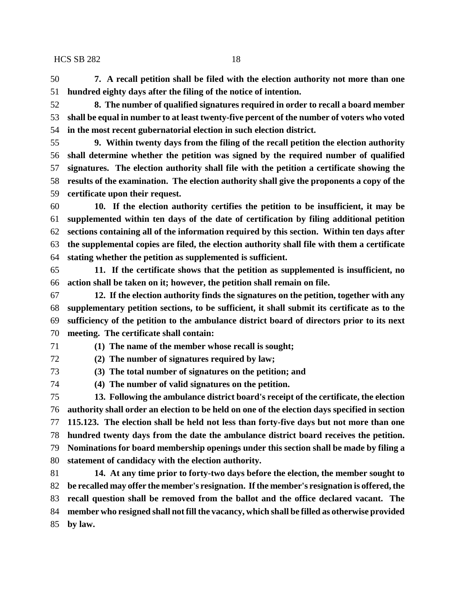**7. A recall petition shall be filed with the election authority not more than one hundred eighty days after the filing of the notice of intention.**

 **8. The number of qualified signatures required in order to recall a board member shall be equal in number to at least twenty-five percent of the number of voters who voted in the most recent gubernatorial election in such election district.**

 **9. Within twenty days from the filing of the recall petition the election authority shall determine whether the petition was signed by the required number of qualified signatures. The election authority shall file with the petition a certificate showing the results of the examination. The election authority shall give the proponents a copy of the certificate upon their request.**

 **10. If the election authority certifies the petition to be insufficient, it may be supplemented within ten days of the date of certification by filing additional petition sections containing all of the information required by this section. Within ten days after the supplemental copies are filed, the election authority shall file with them a certificate stating whether the petition as supplemented is sufficient.**

 **11. If the certificate shows that the petition as supplemented is insufficient, no action shall be taken on it; however, the petition shall remain on file.**

 **12. If the election authority finds the signatures on the petition, together with any supplementary petition sections, to be sufficient, it shall submit its certificate as to the sufficiency of the petition to the ambulance district board of directors prior to its next meeting. The certificate shall contain:**

**(1) The name of the member whose recall is sought;**

**(2) The number of signatures required by law;**

**(3) The total number of signatures on the petition; and**

**(4) The number of valid signatures on the petition.**

 **13. Following the ambulance district board's receipt of the certificate, the election authority shall order an election to be held on one of the election days specified in section 115.123. The election shall be held not less than forty-five days but not more than one hundred twenty days from the date the ambulance district board receives the petition. Nominations for board membership openings under this section shall be made by filing a statement of candidacy with the election authority.**

 **14. At any time prior to forty-two days before the election, the member sought to be recalled may offer the member's resignation. If the member's resignation is offered, the recall question shall be removed from the ballot and the office declared vacant. The member who resigned shall not fill the vacancy, which shall be filled as otherwise provided by law.**